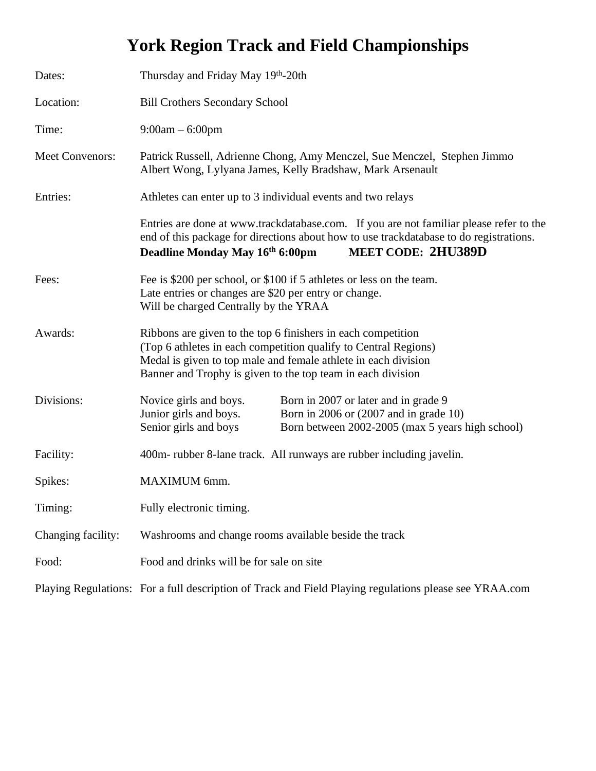# **York Region Track and Field Championships**

| Dates:                 | Thursday and Friday May 19th-20th                                                                                                                                                                                                                                |  |  |
|------------------------|------------------------------------------------------------------------------------------------------------------------------------------------------------------------------------------------------------------------------------------------------------------|--|--|
| Location:              | <b>Bill Crothers Secondary School</b>                                                                                                                                                                                                                            |  |  |
| Time:                  | $9:00am - 6:00pm$                                                                                                                                                                                                                                                |  |  |
| <b>Meet Convenors:</b> | Patrick Russell, Adrienne Chong, Amy Menczel, Sue Menczel, Stephen Jimmo<br>Albert Wong, Lylyana James, Kelly Bradshaw, Mark Arsenault                                                                                                                           |  |  |
| Entries:               | Athletes can enter up to 3 individual events and two relays                                                                                                                                                                                                      |  |  |
|                        | Entries are done at www.trackdatabase.com. If you are not familiar please refer to the<br>end of this package for directions about how to use trackdatabase to do registrations.<br>Deadline Monday May 16th 6:00pm<br><b>MEET CODE: 2HU389D</b>                 |  |  |
| Fees:                  | Fee is \$200 per school, or \$100 if 5 athletes or less on the team.<br>Late entries or changes are \$20 per entry or change.<br>Will be charged Centrally by the YRAA                                                                                           |  |  |
| Awards:                | Ribbons are given to the top 6 finishers in each competition<br>(Top 6 athletes in each competition qualify to Central Regions)<br>Medal is given to top male and female athlete in each division<br>Banner and Trophy is given to the top team in each division |  |  |
| Divisions:             | Novice girls and boys.<br>Born in 2007 or later and in grade 9<br>Junior girls and boys.<br>Born in 2006 or (2007 and in grade 10)<br>Senior girls and boys<br>Born between 2002-2005 (max 5 years high school)                                                  |  |  |
| Facility:              | 400m- rubber 8-lane track. All runways are rubber including javelin.                                                                                                                                                                                             |  |  |
| Spikes:                | MAXIMUM 6mm.                                                                                                                                                                                                                                                     |  |  |
| Timing:                | Fully electronic timing.                                                                                                                                                                                                                                         |  |  |
| Changing facility:     | Washrooms and change rooms available beside the track                                                                                                                                                                                                            |  |  |
| Food:                  | Food and drinks will be for sale on site                                                                                                                                                                                                                         |  |  |
|                        | Playing Regulations: For a full description of Track and Field Playing regulations please see YRAA.com                                                                                                                                                           |  |  |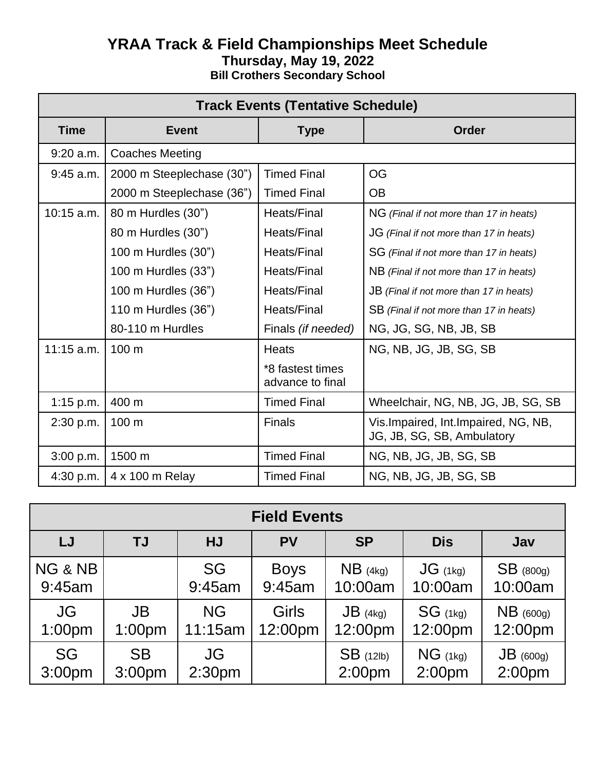## **YRAA Track & Field Championships Meet Schedule Thursday, May 19, 2022 Bill Crothers Secondary School**

| <b>Track Events (Tentative Schedule)</b> |                           |                                      |                                                                     |  |
|------------------------------------------|---------------------------|--------------------------------------|---------------------------------------------------------------------|--|
| <b>Time</b>                              | <b>Event</b>              | <b>Type</b>                          | Order                                                               |  |
| $9:20$ a.m.                              | <b>Coaches Meeting</b>    |                                      |                                                                     |  |
| $9:45$ a.m.                              | 2000 m Steeplechase (30") | <b>Timed Final</b>                   | <b>OG</b>                                                           |  |
|                                          | 2000 m Steeplechase (36") | <b>Timed Final</b>                   | <b>OB</b>                                                           |  |
| 10:15 a.m.                               | 80 m Hurdles (30")        | Heats/Final                          | NG (Final if not more than 17 in heats)                             |  |
|                                          | 80 m Hurdles (30")        | <b>Heats/Final</b>                   | JG (Final if not more than 17 in heats)                             |  |
|                                          | 100 m Hurdles (30")       | <b>Heats/Final</b>                   | SG (Final if not more than 17 in heats)                             |  |
|                                          | 100 m Hurdles (33")       | <b>Heats/Final</b>                   | NB (Final if not more than 17 in heats)                             |  |
|                                          | 100 m Hurdles (36")       | <b>Heats/Final</b>                   | JB (Final if not more than 17 in heats)                             |  |
|                                          | 110 m Hurdles (36")       | <b>Heats/Final</b>                   | SB (Final if not more than 17 in heats)                             |  |
|                                          | 80-110 m Hurdles          | Finals (if needed)                   | NG, JG, SG, NB, JB, SB                                              |  |
| $11:15$ a.m.                             | 100 m                     | <b>Heats</b>                         | NG, NB, JG, JB, SG, SB                                              |  |
|                                          |                           | *8 fastest times<br>advance to final |                                                                     |  |
| $1:15$ p.m.                              | 400 m                     | <b>Timed Final</b>                   | Wheelchair, NG, NB, JG, JB, SG, SB                                  |  |
| 2:30 p.m.                                | 100 m                     | <b>Finals</b>                        | Vis. Impaired, Int. Impaired, NG, NB,<br>JG, JB, SG, SB, Ambulatory |  |
| 3:00 p.m.                                | 1500 m                    | <b>Timed Final</b>                   | NG, NB, JG, JB, SG, SB                                              |  |
| 4:30 p.m.                                | 4 x 100 m Relay           | <b>Timed Final</b>                   | NG, NB, JG, JB, SG, SB                                              |  |

| <b>Field Events</b> |           |                    |              |                    |                    |                    |
|---------------------|-----------|--------------------|--------------|--------------------|--------------------|--------------------|
| LJ                  | <b>TJ</b> | HJ                 | <b>PV</b>    | <b>SP</b>          | <b>Dis</b>         | Jav                |
| NG & NB             |           | <b>SG</b>          | <b>Boys</b>  | $NB$ (4kg)         | $JG$ (1kg)         | $SB$ (800g)        |
| 9:45am              |           | 9:45am             | 9:45am       | 10:00am            | 10:00am            | 10:00am            |
| <b>JG</b>           | <b>JB</b> | <b>NG</b>          | <b>Girls</b> | $JB$ (4kg)         | $SG$ (1kg)         | $NB$ (600g)        |
| 1:00pm              | 1:00pm    | 11:15am            | 12:00pm      | 12:00pm            | 12:00pm            | 12:00pm            |
| <b>SG</b>           | <b>SB</b> | JG                 |              | $SB$ (12lb)        | $NG$ (1kg)         | $JB$ (600g)        |
| 3:00 <sub>pm</sub>  | 3:00pm    | 2:30 <sub>pm</sub> |              | 2:00 <sub>pm</sub> | 2:00 <sub>pm</sub> | 2:00 <sub>pm</sub> |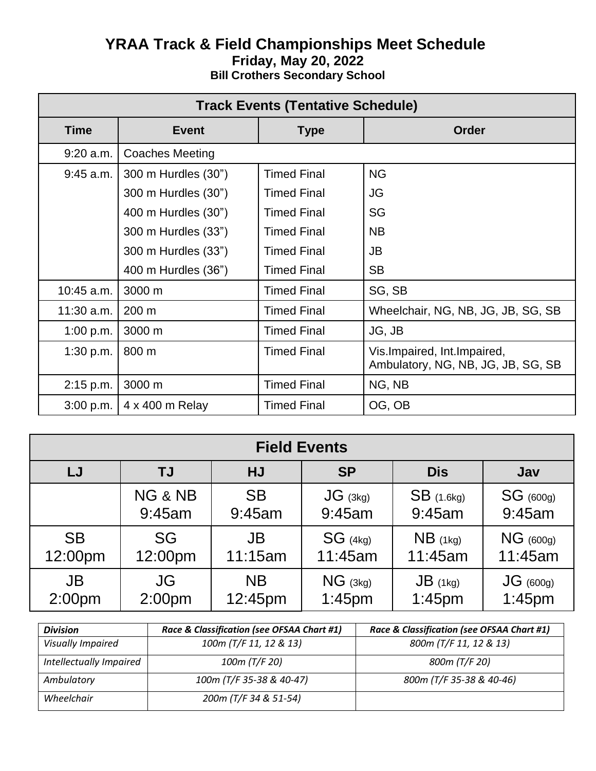## **YRAA Track & Field Championships Meet Schedule Friday, May 20, 2022 Bill Crothers Secondary School**

| <b>Track Events (Tentative Schedule)</b> |                        |                    |                                                                     |  |
|------------------------------------------|------------------------|--------------------|---------------------------------------------------------------------|--|
| <b>Time</b>                              | <b>Event</b>           | <b>Type</b>        | <b>Order</b>                                                        |  |
| $9:20$ a.m.                              | <b>Coaches Meeting</b> |                    |                                                                     |  |
| $9:45$ a.m.                              | 300 m Hurdles (30")    | <b>Timed Final</b> | <b>NG</b>                                                           |  |
|                                          | 300 m Hurdles (30")    | <b>Timed Final</b> | JG                                                                  |  |
|                                          | 400 m Hurdles (30")    | <b>Timed Final</b> | <b>SG</b>                                                           |  |
|                                          | 300 m Hurdles (33")    | <b>Timed Final</b> | <b>NB</b>                                                           |  |
|                                          | 300 m Hurdles (33")    | <b>Timed Final</b> | <b>JB</b>                                                           |  |
|                                          | 400 m Hurdles (36")    | <b>Timed Final</b> | <b>SB</b>                                                           |  |
| 10:45 a.m.                               | 3000 m                 | <b>Timed Final</b> | SG, SB                                                              |  |
| $11:30$ a.m.                             | $200 \text{ m}$        | <b>Timed Final</b> | Wheelchair, NG, NB, JG, JB, SG, SB                                  |  |
| 1:00 p.m.                                | 3000 m                 | <b>Timed Final</b> | JG, JB                                                              |  |
| 1:30 p.m.                                | 800 m                  | <b>Timed Final</b> | Vis. Impaired, Int. Impaired,<br>Ambulatory, NG, NB, JG, JB, SG, SB |  |
| 2:15 p.m.                                | 3000 m                 | <b>Timed Final</b> | NG, NB                                                              |  |
| 3:00 p.m.                                | 4 x 400 m Relay        | <b>Timed Final</b> | OG, OB                                                              |  |

| <b>Field Events</b> |                    |           |            |              |             |
|---------------------|--------------------|-----------|------------|--------------|-------------|
| LJ                  | TJ                 | HJ        | <b>SP</b>  | <b>Dis</b>   | Jav         |
|                     | NG & NB            | <b>SB</b> | $JG$ (3kg) | $SB$ (1.6kg) | $SG$ (600g) |
|                     | 9:45am             | 9:45am    | 9:45am     | 9:45am       | 9:45am      |
| <b>SB</b>           | SG                 | JB        | $SG$ (4kg) | $NB$ (1kg)   | $NG$ (600g) |
| 12:00pm             | 12:00pm            | 11:15am   | 11:45am    | 11:45am      | 11:45am     |
| <b>JB</b>           | JG                 | <b>NB</b> | $NG$ (3kg) | $JB$ (1kg)   | $JG$ (600g) |
| 2:00 <sub>pm</sub>  | 2:00 <sub>pm</sub> | 12:45pm   | $1:45$ pm  | $1:45$ pm    | $1:45$ pm   |

| <b>Division</b>          | Race & Classification (see OFSAA Chart #1) | Race & Classification (see OFSAA Chart #1) |
|--------------------------|--------------------------------------------|--------------------------------------------|
| <b>Visually Impaired</b> | 100m (T/F 11, 12 & 13)                     | 800m (T/F 11, 12 & 13)                     |
| Intellectually Impaired  | 100m (T/F 20)                              | 800m (T/F 20)                              |
| Ambulatory               | 100m (T/F 35-38 & 40-47)                   | 800m (T/F 35-38 & 40-46)                   |
| Wheelchair               | 200m (T/F 34 & 51-54)                      |                                            |